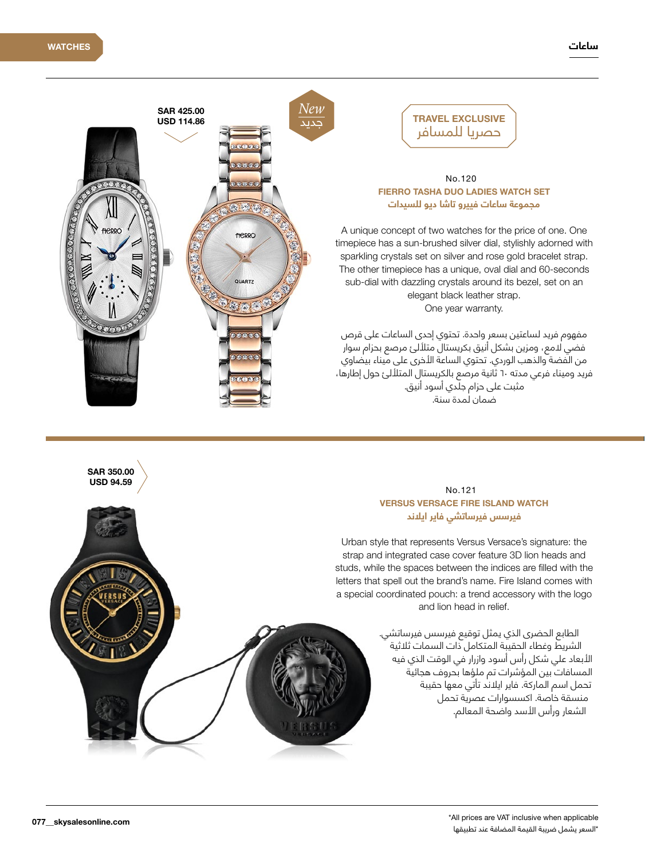

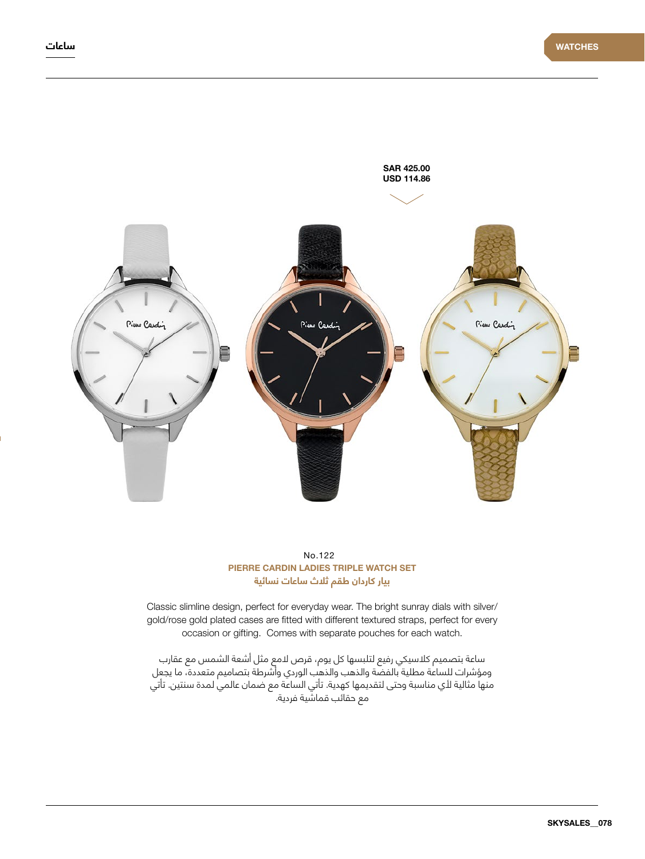



Classic slimline design, perfect for everyday wear. The bright sunray dials with silver/ gold/rose gold plated cases are fitted with different textured straps, perfect for every occasion or gifting. Comes with separate pouches for each watch.

ساعة بتصميم كالسيكي رفيع لتلبسها كل يوم، قرص المع مثل أشعة الشمس مع عقارب ومؤشرات للساعة مطلية بالفضة والذهب والذهب الوردي وأشرطة بتصاميم متعددة، ما يجعل منها مثالية ألي مناسبة وحتى لتقديمها كهدية. تأتي الساعة مع ضمان عالمي لمدة سنتين. تأتي مع حقائب قماشية فردية.